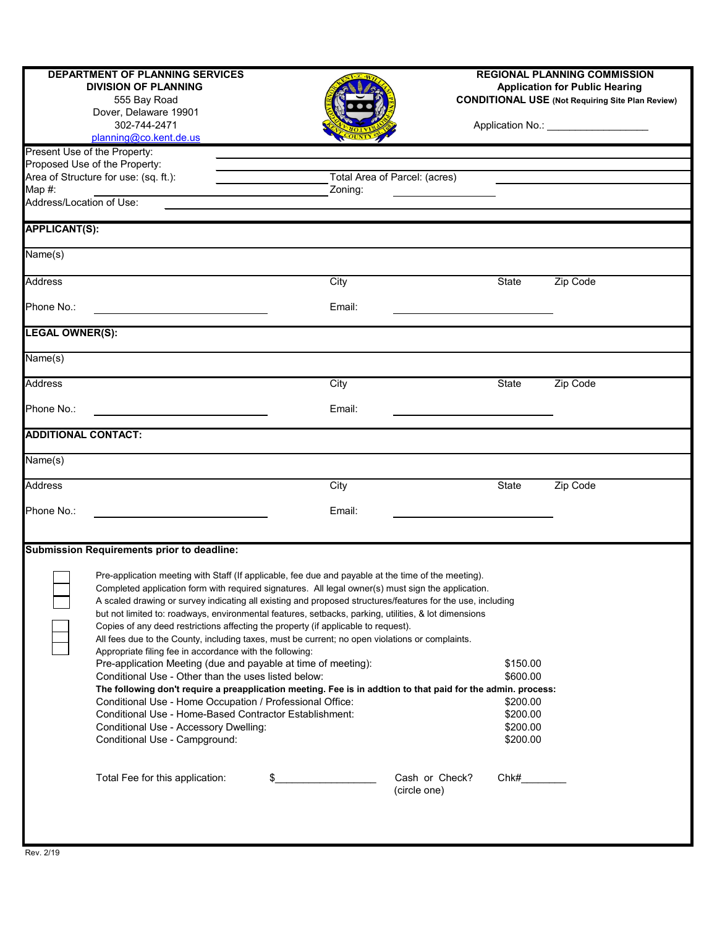|                                       | <b>DEPARTMENT OF PLANNING SERVICES</b><br><b>DIVISION OF PLANNING</b><br>555 Bay Road                                                                                                                                                                                                                                                                                                                                                                                                                                                                                                                                                                                                |                               |                                |                      | <b>REGIONAL PLANNING COMMISSION</b><br><b>Application for Public Hearing</b><br><b>CONDITIONAL USE (Not Requiring Site Plan Review)</b> |
|---------------------------------------|--------------------------------------------------------------------------------------------------------------------------------------------------------------------------------------------------------------------------------------------------------------------------------------------------------------------------------------------------------------------------------------------------------------------------------------------------------------------------------------------------------------------------------------------------------------------------------------------------------------------------------------------------------------------------------------|-------------------------------|--------------------------------|----------------------|-----------------------------------------------------------------------------------------------------------------------------------------|
|                                       | Dover, Delaware 19901<br>302-744-2471<br>planning@co.kent.de.us                                                                                                                                                                                                                                                                                                                                                                                                                                                                                                                                                                                                                      |                               |                                |                      | Application No.: ___________________                                                                                                    |
|                                       | Present Use of the Property:                                                                                                                                                                                                                                                                                                                                                                                                                                                                                                                                                                                                                                                         |                               |                                |                      |                                                                                                                                         |
|                                       | Proposed Use of the Property:                                                                                                                                                                                                                                                                                                                                                                                                                                                                                                                                                                                                                                                        |                               |                                |                      |                                                                                                                                         |
|                                       | Area of Structure for use: (sq. ft.):                                                                                                                                                                                                                                                                                                                                                                                                                                                                                                                                                                                                                                                | Total Area of Parcel: (acres) |                                |                      |                                                                                                                                         |
| Map $#$ :<br>Address/Location of Use: |                                                                                                                                                                                                                                                                                                                                                                                                                                                                                                                                                                                                                                                                                      | Zoning:                       |                                |                      |                                                                                                                                         |
|                                       |                                                                                                                                                                                                                                                                                                                                                                                                                                                                                                                                                                                                                                                                                      |                               |                                |                      |                                                                                                                                         |
| <b>APPLICANT(S):</b>                  |                                                                                                                                                                                                                                                                                                                                                                                                                                                                                                                                                                                                                                                                                      |                               |                                |                      |                                                                                                                                         |
| $\overline{\mathsf{Name}}(s)$         |                                                                                                                                                                                                                                                                                                                                                                                                                                                                                                                                                                                                                                                                                      |                               |                                |                      |                                                                                                                                         |
| <b>Address</b>                        |                                                                                                                                                                                                                                                                                                                                                                                                                                                                                                                                                                                                                                                                                      | City                          |                                | <b>State</b>         | Zip Code                                                                                                                                |
| Phone No.:                            |                                                                                                                                                                                                                                                                                                                                                                                                                                                                                                                                                                                                                                                                                      | Email:                        |                                |                      |                                                                                                                                         |
| <b>LEGAL OWNER(S):</b>                |                                                                                                                                                                                                                                                                                                                                                                                                                                                                                                                                                                                                                                                                                      |                               |                                |                      |                                                                                                                                         |
| $\overline{\mathsf{Name}}(s)$         |                                                                                                                                                                                                                                                                                                                                                                                                                                                                                                                                                                                                                                                                                      |                               |                                |                      |                                                                                                                                         |
| <b>Address</b>                        |                                                                                                                                                                                                                                                                                                                                                                                                                                                                                                                                                                                                                                                                                      | City                          |                                | <b>State</b>         | Zip Code                                                                                                                                |
| Phone No.:                            |                                                                                                                                                                                                                                                                                                                                                                                                                                                                                                                                                                                                                                                                                      | Email:                        |                                |                      |                                                                                                                                         |
| <b>ADDITIONAL CONTACT:</b>            |                                                                                                                                                                                                                                                                                                                                                                                                                                                                                                                                                                                                                                                                                      |                               |                                |                      |                                                                                                                                         |
| $\overline{\mathsf{Name}}(s)$         |                                                                                                                                                                                                                                                                                                                                                                                                                                                                                                                                                                                                                                                                                      |                               |                                |                      |                                                                                                                                         |
| <b>Address</b>                        |                                                                                                                                                                                                                                                                                                                                                                                                                                                                                                                                                                                                                                                                                      | City                          |                                | <b>State</b>         | Zip Code                                                                                                                                |
| Phone No.:                            |                                                                                                                                                                                                                                                                                                                                                                                                                                                                                                                                                                                                                                                                                      | Email:                        |                                |                      |                                                                                                                                         |
|                                       |                                                                                                                                                                                                                                                                                                                                                                                                                                                                                                                                                                                                                                                                                      |                               |                                |                      |                                                                                                                                         |
|                                       | Submission Requirements prior to deadline:                                                                                                                                                                                                                                                                                                                                                                                                                                                                                                                                                                                                                                           |                               |                                |                      |                                                                                                                                         |
|                                       | Pre-application meeting with Staff (If applicable, fee due and payable at the time of the meeting).<br>Completed application form with required signatures. All legal owner(s) must sign the application.<br>A scaled drawing or survey indicating all existing and proposed structures/features for the use, including<br>but not limited to: roadways, environmental features, setbacks, parking, utilities, & lot dimensions<br>Copies of any deed restrictions affecting the property (if applicable to request).<br>All fees due to the County, including taxes, must be current; no open violations or complaints.<br>Appropriate filing fee in accordance with the following: |                               |                                |                      |                                                                                                                                         |
|                                       | Pre-application Meeting (due and payable at time of meeting):                                                                                                                                                                                                                                                                                                                                                                                                                                                                                                                                                                                                                        |                               |                                | \$150.00             |                                                                                                                                         |
|                                       | Conditional Use - Other than the uses listed below:                                                                                                                                                                                                                                                                                                                                                                                                                                                                                                                                                                                                                                  |                               |                                | \$600.00             |                                                                                                                                         |
|                                       | The following don't require a preapplication meeting. Fee is in addtion to that paid for the admin. process:                                                                                                                                                                                                                                                                                                                                                                                                                                                                                                                                                                         |                               |                                |                      |                                                                                                                                         |
|                                       | Conditional Use - Home Occupation / Professional Office:<br>Conditional Use - Home-Based Contractor Establishment:                                                                                                                                                                                                                                                                                                                                                                                                                                                                                                                                                                   |                               |                                | \$200.00<br>\$200.00 |                                                                                                                                         |
|                                       | Conditional Use - Accessory Dwelling:                                                                                                                                                                                                                                                                                                                                                                                                                                                                                                                                                                                                                                                |                               |                                | \$200.00             |                                                                                                                                         |
|                                       | Conditional Use - Campground:                                                                                                                                                                                                                                                                                                                                                                                                                                                                                                                                                                                                                                                        |                               |                                | \$200.00             |                                                                                                                                         |
|                                       | Total Fee for this application:                                                                                                                                                                                                                                                                                                                                                                                                                                                                                                                                                                                                                                                      |                               | Cash or Check?<br>(circle one) | Chk#                 |                                                                                                                                         |
|                                       |                                                                                                                                                                                                                                                                                                                                                                                                                                                                                                                                                                                                                                                                                      |                               |                                |                      |                                                                                                                                         |